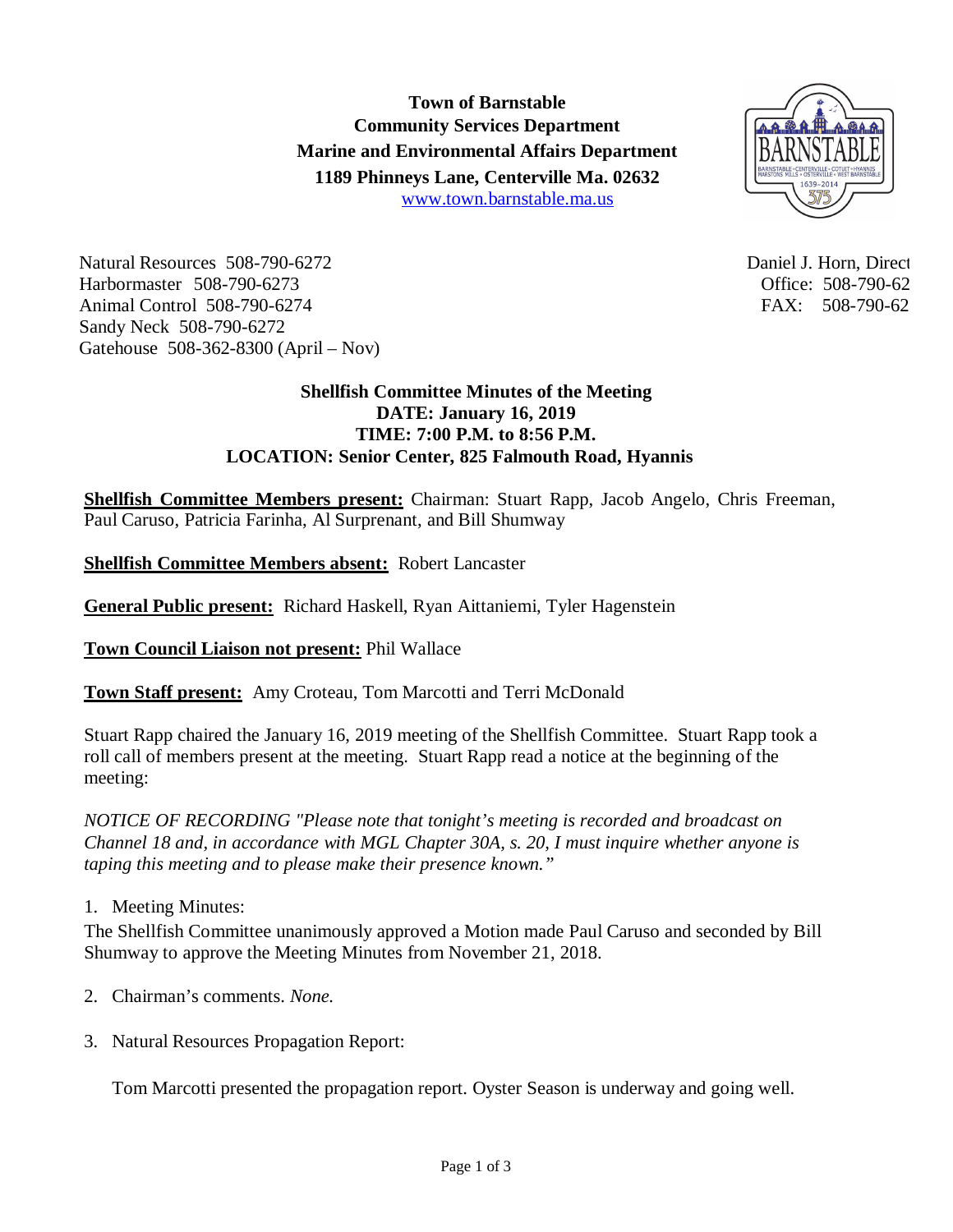**Town of Barnstable Community Services Department Marine and Environmental Affairs Department 1189 Phinneys Lane, Centerville Ma. 02632** www.town.barnstable.ma.us



Natural Resources 508-790-6272 and the state of the Daniel J. Horn, Director and Daniel J. Horn, Director and Daniel J. Horn, Director and Daniel J. Horn, Director and Daniel J. Horn, Director and Daniel J. Horn, Director Harbormaster 508-790-6273 Office: 508-790-6273 Animal Control 508-790-6274 FAX: 508-790-62 Sandy Neck 508-790-6272 Gatehouse 508-362-8300 (April – Nov)

## **Shellfish Committee Minutes of the Meeting DATE: January 16, 2019 TIME: 7:00 P.M. to 8:56 P.M. LOCATION: Senior Center, 825 Falmouth Road, Hyannis**

**Shellfish Committee Members present:** Chairman: Stuart Rapp, Jacob Angelo, Chris Freeman, Paul Caruso, Patricia Farinha, Al Surprenant, and Bill Shumway

**Shellfish Committee Members absent:** Robert Lancaster

**General Public present:** Richard Haskell, Ryan Aittaniemi, Tyler Hagenstein

**Town Council Liaison not present:** Phil Wallace

**Town Staff present:** Amy Croteau, Tom Marcotti and Terri McDonald

Stuart Rapp chaired the January 16, 2019 meeting of the Shellfish Committee. Stuart Rapp took a roll call of members present at the meeting. Stuart Rapp read a notice at the beginning of the meeting:

*NOTICE OF RECORDING "Please note that tonight's meeting is recorded and broadcast on Channel 18 and, in accordance with MGL Chapter 30A, s. 20, I must inquire whether anyone is taping this meeting and to please make their presence known."*

1. Meeting Minutes:

The Shellfish Committee unanimously approved a Motion made Paul Caruso and seconded by Bill Shumway to approve the Meeting Minutes from November 21, 2018.

- 2. Chairman's comments. *None.*
- 3. Natural Resources Propagation Report:

Tom Marcotti presented the propagation report. Oyster Season is underway and going well.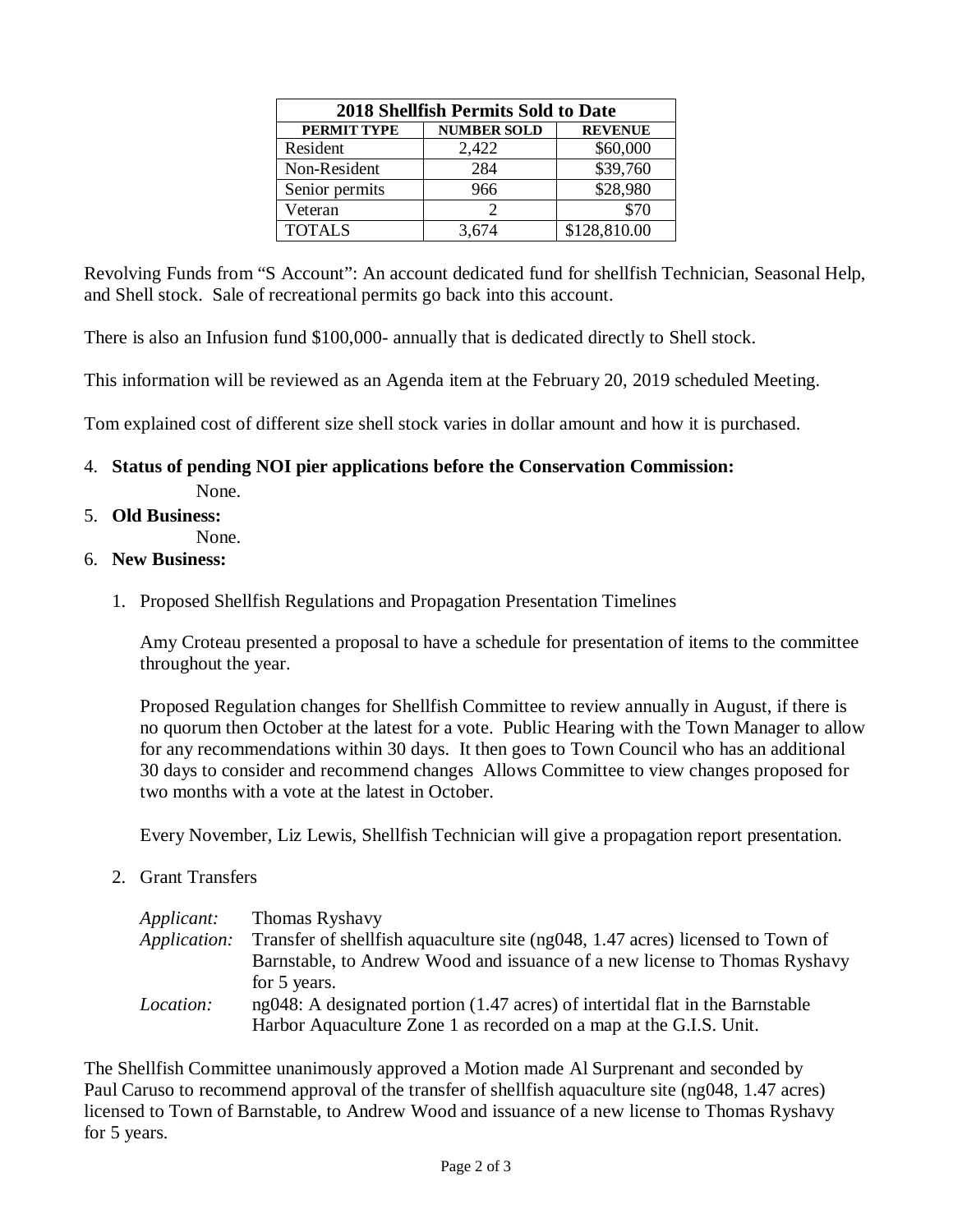| <b>2018 Shellfish Permits Sold to Date</b> |                    |                |
|--------------------------------------------|--------------------|----------------|
| PERMIT TYPE                                | <b>NUMBER SOLD</b> | <b>REVENUE</b> |
| Resident                                   | 2,422              | \$60,000       |
| Non-Resident                               | 284                | \$39,760       |
| Senior permits                             | 966                | \$28,980       |
| Veteran                                    | 2                  | \$70           |
| <b>TOTALS</b>                              | 3,674              | \$128,810.00   |

Revolving Funds from "S Account": An account dedicated fund for shellfish Technician, Seasonal Help, and Shell stock. Sale of recreational permits go back into this account.

There is also an Infusion fund \$100,000- annually that is dedicated directly to Shell stock.

This information will be reviewed as an Agenda item at the February 20, 2019 scheduled Meeting.

Tom explained cost of different size shell stock varies in dollar amount and how it is purchased.

- 4. **Status of pending NOI pier applications before the Conservation Commission:** None.
- 5. **Old Business:**
	- None.

## 6. **New Business:**

1. Proposed Shellfish Regulations and Propagation Presentation Timelines

Amy Croteau presented a proposal to have a schedule for presentation of items to the committee throughout the year.

Proposed Regulation changes for Shellfish Committee to review annually in August, if there is no quorum then October at the latest for a vote. Public Hearing with the Town Manager to allow for any recommendations within 30 days. It then goes to Town Council who has an additional 30 days to consider and recommend changes Allows Committee to view changes proposed for two months with a vote at the latest in October.

Every November, Liz Lewis, Shellfish Technician will give a propagation report presentation.

2. Grant Transfers

| <i>Applicant:</i>   | <b>Thomas Ryshavy</b>                                                            |
|---------------------|----------------------------------------------------------------------------------|
| <i>Application:</i> | Transfer of shell fish aquaculture site (ng048, 1.47 acres) licensed to Town of  |
|                     | Barnstable, to Andrew Wood and issuance of a new license to Thomas Ryshavy       |
|                     | for 5 years.                                                                     |
| <i>Location:</i>    | $ng048$ : A designated portion (1.47 acres) of intertidal flat in the Barnstable |
|                     | Harbor Aquaculture Zone 1 as recorded on a map at the G.I.S. Unit.               |

The Shellfish Committee unanimously approved a Motion made Al Surprenant and seconded by Paul Caruso to recommend approval of the transfer of shellfish aquaculture site (ng048, 1.47 acres) licensed to Town of Barnstable, to Andrew Wood and issuance of a new license to Thomas Ryshavy for 5 years.